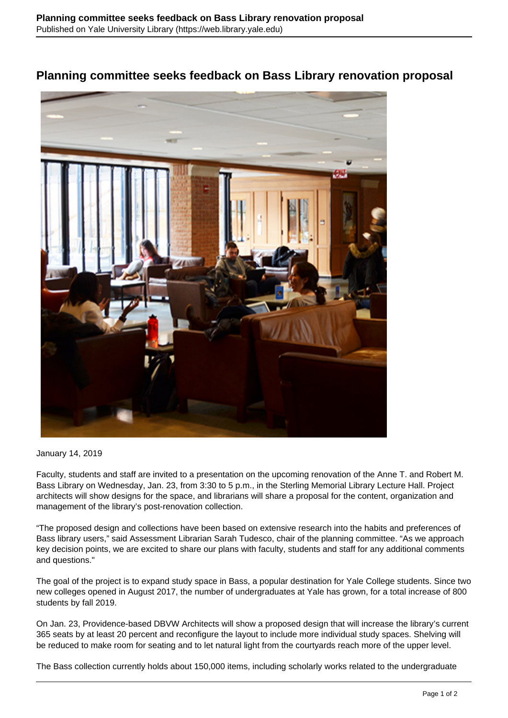## **Planning committee seeks feedback on Bass Library renovation proposal**



January 14, 2019

Faculty, students and staff are invited to a presentation on the upcoming renovation of the Anne T. and Robert M. Bass Library on Wednesday, Jan. 23, from 3:30 to 5 p.m., in the Sterling Memorial Library Lecture Hall. Project architects will show designs for the space, and librarians will share a proposal for the content, organization and management of the library's post-renovation collection.

"The proposed design and collections have been based on extensive research into the habits and preferences of Bass library users," said Assessment Librarian Sarah Tudesco, chair of the planning committee. "As we approach key decision points, we are excited to share our plans with faculty, students and staff for any additional comments and questions."

The goal of the project is to expand study space in Bass, a popular destination for Yale College students. Since two new colleges opened in August 2017, the number of undergraduates at Yale has grown, for a total increase of 800 students by fall 2019.

On Jan. 23, Providence-based DBVW Architects will show a proposed design that will increase the library's current 365 seats by at least 20 percent and reconfigure the layout to include more individual study spaces. Shelving will be reduced to make room for seating and to let natural light from the courtyards reach more of the upper level.

The Bass collection currently holds about 150,000 items, including scholarly works related to the undergraduate